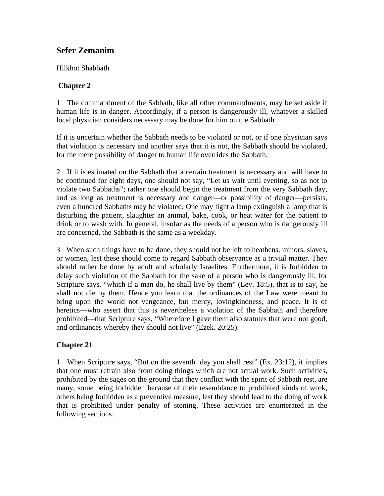# **Sefer Zemanim**

## Hilkhot Shabbath

## **Chapter 2**

1 The commandment of the Sabbath, like all other commandments, may be set aside if human life is in danger. Accordingly, if a person is dangerously ill, whatever a skilled local physician considers necessary may be done for him on the Sabbath.

If it is uncertain whether the Sabbath needs to be violated or not, or if one physician says that violation is necessary and another says that it is not, the Sabbath should be violated, for the mere possibility of danger to human life overrides the Sabbath.

2 If it is estimated on the Sabbath that a certain treatment is necessary and will have to be continued for eight days, one should not say, "Let us wait until evening, so as not to violate two Sabbaths"; rather one should begin the treatment from the very Sabbath day, and as long as treatment is necessary and danger—or possibility of danger—persists, even a hundred Sabbaths may be violated. One may light a lamp extinguish a lamp that is disturbing the patient, slaughter an animal, bake, cook, or heat water for the patient to drink or to wash with. In general, insofar as the needs of a person who is dangerously ill are concerned, the Sabbath is the same as a weekday.

3 When such things have to be done, they should not be left to heathens, minors, slaves, or women, lest these should come to regard Sabbath observance as a trivial matter. They should rather be done by adult and scholarly Israelites. Furthermore, it is forbidden to delay such violation of the Sabbath for the sake of a person who is dangerously ill, for Scripture says, "which if a man do, he shall live by them" (Lev. 18:5), that is to say, he shall not die by them. Hence you learn that the ordinances of the Law were meant to bring upon the world not vengeance, but mercy, lovingkindness, and peace. It is of heretics—who assert that this is nevertheless a violation of the Sabbath and therefore prohibited—that Scripture says, "Wherefore I gave them also statutes that were not good, and ordinances whereby they should not live" (Ezek. 20:25).

## **Chapter 21**

1 When Scripture says, "But on the seventh day you shall rest" (Ex. 23:12), it implies that one must refrain also from doing things which are not actual work. Such activities, prohibited by the sages on the ground that they conflict with the spirit of Sabbath rest, are many, some being forbidden because of their resemblance to prohibited kinds of work, others being forbidden as a preventive measure, lest they should lead to the doing of work that is prohibited under penalty of stoning. These activities are enumerated in the following sections.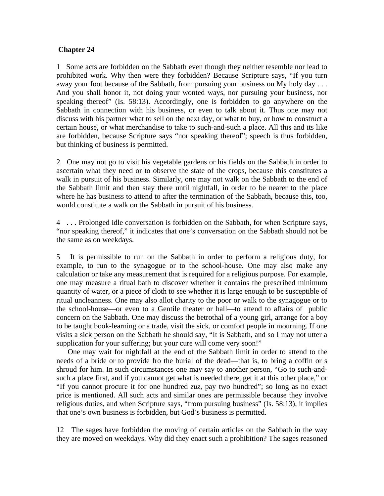#### **Chapter 24**

1 Some acts are forbidden on the Sabbath even though they neither resemble nor lead to prohibited work. Why then were they forbidden? Because Scripture says, "If you turn away your foot because of the Sabbath, from pursuing your business on My holy day . . . And you shall honor it, not doing your wonted ways, nor pursuing your business, nor speaking thereof" (Is. 58:13). Accordingly, one is forbidden to go anywhere on the Sabbath in connection with his business, or even to talk about it. Thus one may not discuss with his partner what to sell on the next day, or what to buy, or how to construct a certain house, or what merchandise to take to such-and-such a place. All this and its like are forbidden, because Scripture says "nor speaking thereof"; speech is thus forbidden, but thinking of business is permitted.

2 One may not go to visit his vegetable gardens or his fields on the Sabbath in order to ascertain what they need or to observe the state of the crops, because this constitutes a walk in pursuit of his business. Similarly, one may not walk on the Sabbath to the end of the Sabbath limit and then stay there until nightfall, in order to be nearer to the place where he has business to attend to after the termination of the Sabbath, because this, too, would constitute a walk on the Sabbath in pursuit of his business.

4 . . . Prolonged idle conversation is forbidden on the Sabbath, for when Scripture says, "nor speaking thereof," it indicates that one's conversation on the Sabbath should not be the same as on weekdays.

5 It is permissible to run on the Sabbath in order to perform a religious duty, for example, to run to the synagogue or to the school-house. One may also make any calculation or take any measurement that is required for a religious purpose. For example, one may measure a ritual bath to discover whether it contains the prescribed minimum quantity of water, or a piece of cloth to see whether it is large enough to be susceptible of ritual uncleanness. One may also allot charity to the poor or walk to the synagogue or to the school-house—or even to a Gentile theater or hall—to attend to affairs of public concern on the Sabbath. One may discuss the betrothal of a young girl, arrange for a boy to be taught book-learning or a trade, visit the sick, or comfort people in mourning. If one visits a sick person on the Sabbath he should say, "It is Sabbath, and so I may not utter a supplication for your suffering; but your cure will come very soon!"

 One may wait for nightfall at the end of the Sabbath limit in order to attend to the needs of a bride or to provide fro the burial of the dead—that is, to bring a coffin or s shroud for him. In such circumstances one may say to another person, "Go to such-andsuch a place first, and if you cannot get what is needed there, get it at this other place," or "If you cannot procure it for one hundred *zuz*, pay two hundred"; so long as no exact price is mentioned. All such acts and similar ones are permissible because they involve religious duties, and when Scripture says, "from pursuing business" (Is. 58:13), it implies that one's own business is forbidden, but God's business is permitted.

12 The sages have forbidden the moving of certain articles on the Sabbath in the way they are moved on weekdays. Why did they enact such a prohibition? The sages reasoned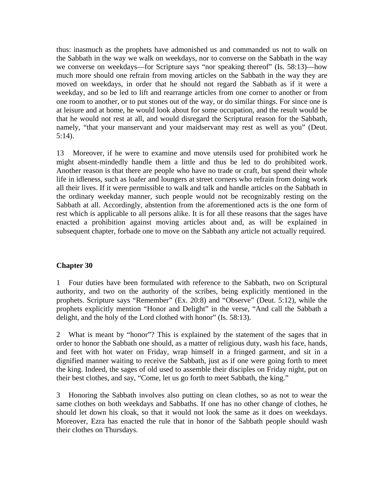thus: inasmuch as the prophets have admonished us and commanded us not to walk on the Sabbath in the way we walk on weekdays, nor to converse on the Sabbath in the way we converse on weekdays—for Scripture says "nor speaking thereof" (Is. 58:13)—how much more should one refrain from moving articles on the Sabbath in the way they are moved on weekdays, in order that he should not regard the Sabbath as if it were a weekday, and so be led to lift and rearrange articles from one corner to another or from one room to another, or to put stones out of the way, or do similar things. For since one is at leisure and at home, he would look about for some occupation, and the result would be that he would not rest at all, and would disregard the Scriptural reason for the Sabbath, namely, "that your manservant and your maidservant may rest as well as you" (Deut. 5:14).

13 Moreover, if he were to examine and move utensils used for prohibited work he might absent-mindedly handle them a little and thus be led to do prohibited work. Another reason is that there are people who have no trade or craft, but spend their whole life in idleness, such as loafer and loungers at street corners who refrain from doing work all their lives. If it were permissible to walk and talk and handle articles on the Sabbath in the ordinary weekday manner, such people would not be recognizably resting on the Sabbath at all. Accordingly, abstention from the aforementioned acts is the one form of rest which is applicable to all persons alike. It is for all these reasons that the sages have enacted a prohibition against moving articles about and, as will be explained in subsequent chapter, forbade one to move on the Sabbath any article not actually required.

## **Chapter 30**

1 Four duties have been formulated with reference to the Sabbath, two on Scriptural authority, and two on the authority of the scribes, being explicitly mentioned in the prophets. Scripture says "Remember" (Ex. 20:8) and "Observe" (Deut. 5:12), while the prophets explicitly mention "Honor and Delight" in the verse, "And call the Sabbath a delight, and the holy of the Lord clothed with honor" (Is. 58:13).

2 What is meant by "honor"? This is explained by the statement of the sages that in order to honor the Sabbath one should, as a matter of religious duty, wash his face, hands, and feet with hot water on Friday, wrap himself in a fringed garment, and sit in a dignified manner waiting to receive the Sabbath, just as if one were going forth to meet the king. Indeed, the sages of old used to assemble their disciples on Friday night, put on their best clothes, and say, "Come, let us go forth to meet Sabbath, the king."

3 Honoring the Sabbath involves also putting on clean clothes, so as not to wear the same clothes on both weekdays and Sabbaths. If one has no other change of clothes, he should let down his cloak, so that it would not look the same as it does on weekdays. Moreover, Ezra has enacted the rule that in honor of the Sabbath people should wash their clothes on Thursdays.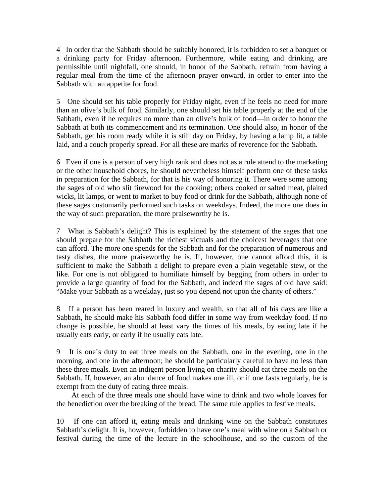4 In order that the Sabbath should be suitably honored, it is forbidden to set a banquet or a drinking party for Friday afternoon. Furthermore, while eating and drinking are permissible until nightfall, one should, in honor of the Sabbath, refrain from having a regular meal from the time of the afternoon prayer onward, in order to enter into the Sabbath with an appetite for food.

5 One should set his table properly for Friday night, even if he feels no need for more than an olive's bulk of food. Similarly, one should set his table properly at the end of the Sabbath, even if he requires no more than an olive's bulk of food—in order to honor the Sabbath at both its commencement and its termination. One should also, in honor of the Sabbath, get his room ready while it is still day on Friday, by having a lamp lit, a table laid, and a couch properly spread. For all these are marks of reverence for the Sabbath.

6 Even if one is a person of very high rank and does not as a rule attend to the marketing or the other household chores, he should nevertheless himself perform one of these tasks in preparation for the Sabbath, for that is his way of honoring it. There were some among the sages of old who slit firewood for the cooking; others cooked or salted meat, plaited wicks, lit lamps, or went to market to buy food or drink for the Sabbath, although none of these sages customarily performed such tasks on weekdays. Indeed, the more one does in the way of such preparation, the more praiseworthy he is.

7 What is Sabbath's delight? This is explained by the statement of the sages that one should prepare for the Sabbath the richest victuals and the choicest beverages that one can afford. The more one spends for the Sabbath and for the preparation of numerous and tasty dishes, the more praiseworthy he is. If, however, one cannot afford this, it is sufficient to make the Sabbath a delight to prepare even a plain vegetable stew, or the like. For one is not obligated to humiliate himself by begging from others in order to provide a large quantity of food for the Sabbath, and indeed the sages of old have said: "Make your Sabbath as a weekday, just so you depend not upon the charity of others."

8 If a person has been reared in luxury and wealth, so that all of his days are like a Sabbath, he should make his Sabbath food differ in some way from weekday food. If no change is possible, he should at least vary the times of his meals, by eating late if he usually eats early, or early if he usually eats late.

9 It is one's duty to eat three meals on the Sabbath, one in the evening, one in the morning, and one in the afternoon; he should be particularly careful to have no less than these three meals. Even an indigent person living on charity should eat three meals on the Sabbath. If, however, an abundance of food makes one ill, or if one fasts regularly, he is exempt from the duty of eating three meals.

 At each of the three meals one should have wine to drink and two whole loaves for the benediction over the breaking of the bread. The same rule applies to festive meals.

10 If one can afford it, eating meals and drinking wine on the Sabbath constitutes Sabbath's delight. It is, however, forbidden to have one's meal with wine on a Sabbath or festival during the time of the lecture in the schoolhouse, and so the custom of the